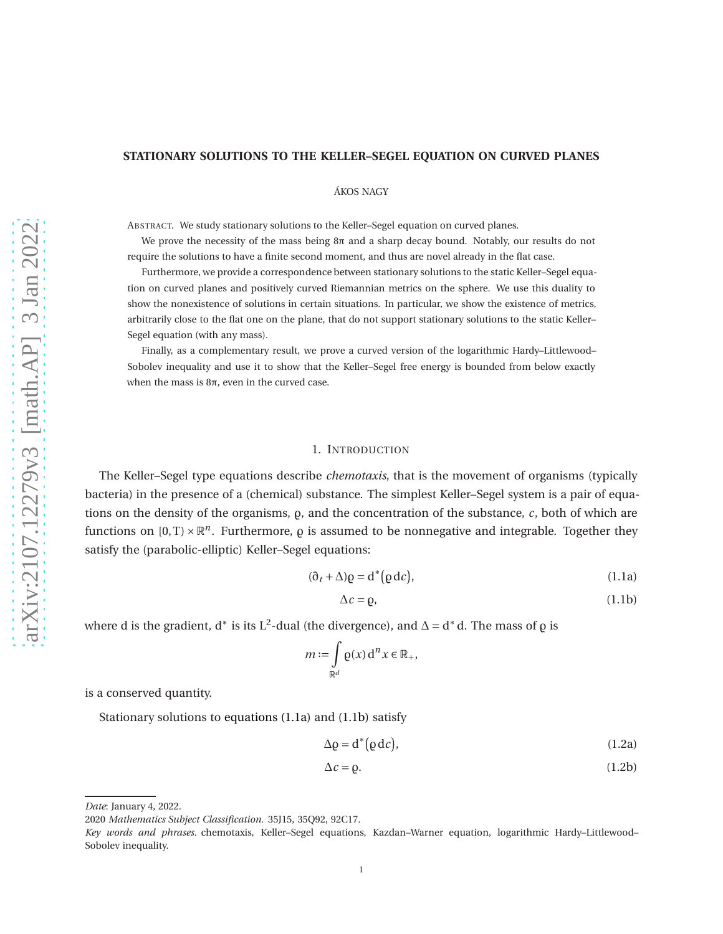# **STATIONARY SOLUTIONS TO THE KELLER–SEGEL EQUATION ON CURVED PLANES**

ÁKOS NAGY

ABSTRACT. We study stationary solutions to the Keller–Segel equation on curved planes.

We prove the necessity of the mass being  $8\pi$  and a sharp decay bound. Notably, our results do not require the solutions to have a finite second moment, and thus are novel already in the flat case.

Furthermore, we provide a correspondence between stationary solutions to the static Keller–Segel equation on curved planes and positively curved Riemannian metrics on the sphere. We use this duality to show the nonexistence of solutions in certain situations. In particular, we show the existence of metrics, arbitrarily close to the flat one on the plane, that do not support stationary solutions to the static Keller– Segel equation (with any mass).

Finally, as a complementary result, we prove a curved version of the logarithmic Hardy–Littlewood– Sobolev inequality and use it to show that the Keller–Segel free energy is bounded from below exactly when the mass is  $8π$ , even in the curved case.

#### 1. INTRODUCTION

The Keller–Segel type equations describe *chemotaxis*, that is the movement of organisms (typically bacteria) in the presence of a (chemical) substance. The simplest Keller–Segel system is a pair of equations on the density of the organisms,  $\rho$ , and the concentration of the substance,  $c$ , both of which are functions on  $[0, T) \times \mathbb{R}^n$ . Furthermore,  $\rho$  is assumed to be nonnegative and integrable. Together they satisfy the (parabolic-elliptic) Keller–Segel equations:

$$
(\partial_t + \Delta)\rho = d^*(\rho d c), \qquad (1.1a)
$$

<span id="page-0-1"></span><span id="page-0-0"></span>
$$
\Delta c = \rho,\tag{1.1b}
$$

where d is the gradient, d<sup>∗</sup> is its L<sup>2</sup>-dual (the divergence), and  $\Delta = d^*d$ . The mass of  $\varrho$  is

$$
m := \int\limits_{\mathbb{R}^d} \varrho(x) \, \mathrm{d}^n x \in \mathbb{R}_+,
$$

is a conserved quantity.

Stationary solutions to [equations \(1.1a\)](#page-0-0) and [\(1.1b\)](#page-0-1) satisfy

<span id="page-0-2"></span>
$$
\Delta \varrho = d^*(\varrho \, \mathrm{d}c),\tag{1.2a}
$$

<span id="page-0-3"></span>
$$
\Delta c = \rho. \tag{1.2b}
$$

*Date*: January 4, 2022.

<sup>2020</sup> *Mathematics Subject Classification.* 35J15, 35Q92, 92C17.

*Key words and phrases.* chemotaxis, Keller–Segel equations, Kazdan–Warner equation, logarithmic Hardy–Littlewood– Sobolev inequality.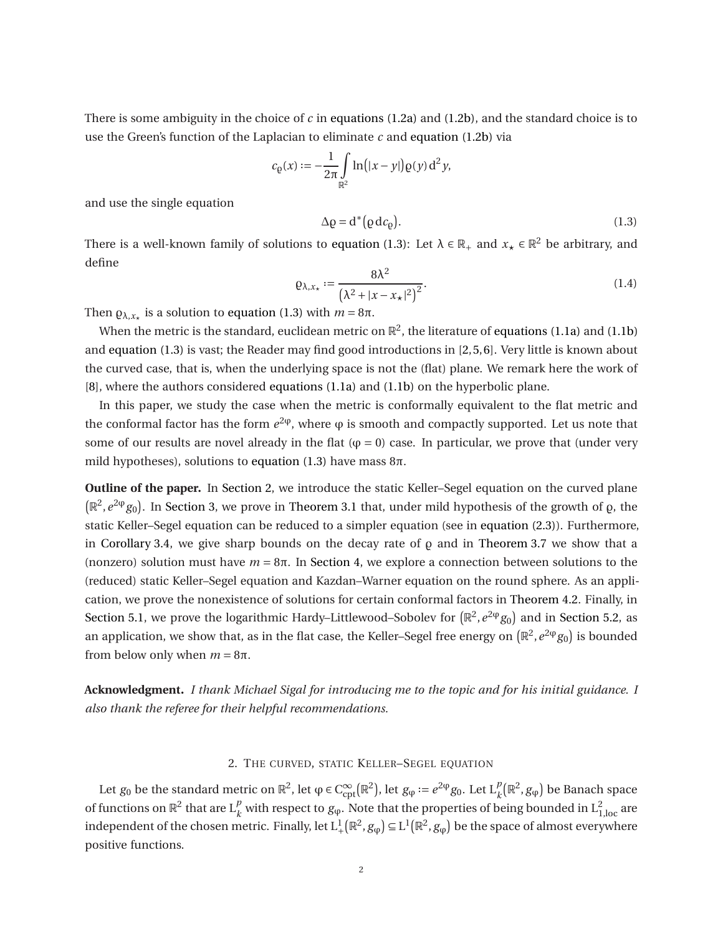There is some ambiguity in the choice of *c* in [equations \(1.2a\)](#page-0-2) and [\(1.2b\),](#page-0-3) and the standard choice is to use the Green's function of the Laplacian to eliminate *c* and [equation \(1.2b\)](#page-0-3) via

$$
c_{\varrho}(x) := -\frac{1}{2\pi} \int_{\mathbb{R}^2} \ln(|x - y|) \varrho(y) d^2 y,
$$

and use the single equation

<span id="page-1-0"></span>
$$
\Delta \varrho = d^*(\varrho \, d c_\varrho). \tag{1.3}
$$

There is a well-known family of solutions to [equation \(1.3\):](#page-1-0) Let  $\lambda \in \mathbb{R}_+$  and  $x_\star \in \mathbb{R}^2$  be arbitrary, and define

<span id="page-1-2"></span>
$$
\varrho_{\lambda,x_{\star}} := \frac{8\lambda^2}{\left(\lambda^2 + |x - x_{\star}|^2\right)^2}.
$$
\n(1.4)

Then  $\varrho_{\lambda,x_{\star}}$  is a solution to [equation \(1.3\)](#page-1-0) with  $m = 8\pi$ .

When the metric is the standard, euclidean metric on  $\mathbb{R}^2$ , the literature of [equations \(1.1a\)](#page-0-0) and [\(1.1b\)](#page-0-1) and [equation \(1.3\)](#page-1-0) is vast; the Reader may find good introductions in [\[2,](#page-14-0)[5,](#page-14-1)[6\]](#page-14-2). Very little is known about the curved case, that is, when the underlying space is not the (flat) plane. We remark here the work of [\[8\]](#page-14-3), where the authors considered [equations \(1.1a\)](#page-0-0) and [\(1.1b\)](#page-0-1) on the hyperbolic plane.

In this paper, we study the case when the metric is conformally equivalent to the flat metric and the conformal factor has the form  $e^{2\phi}$ , where  $\phi$  is smooth and compactly supported. Let us note that some of our results are novel already in the flat ( $\varphi = 0$ ) case. In particular, we prove that (under very mild hypotheses), solutions to [equation \(1.3\)](#page-1-0) have mass  $8\pi$ .

**Outline of the paper.** In [Section 2,](#page-1-1) we introduce the static Keller–Segel equation on the curved plane  $(\mathbb{R}^2, e^{2\phi}g_0)$ . In [Section 3,](#page-3-0) we prove in [Theorem 3.1](#page-3-1) that, under mild hypothesis of the growth of  $\rho$ , the static Keller–Segel equation can be reduced to a simpler equation (see in [equation \(2.3\)\)](#page-2-0). Furthermore, in [Corollary 3.4,](#page-5-0) we give sharp bounds on the decay rate of  $\rho$  and in [Theorem 3.7](#page-6-0) we show that a (nonzero) solution must have  $m = 8\pi$ . In [Section 4,](#page-8-0) we explore a connection between solutions to the (reduced) static Keller–Segel equation and Kazdan–Warner equation on the round sphere. As an application, we prove the nonexistence of solutions for certain conformal factors in [Theorem 4.2.](#page-9-0) Finally, in [Section 5.1,](#page-9-1) we prove the logarithmic Hardy–Littlewood–Sobolev for  $(\mathbb{R}^2,e^{2\phi}g_0)$  and in [Section 5.2,](#page-11-0) as an application, we show that, as in the flat case, the Keller–Segel free energy on  $(\mathbb{R}^2,e^{2\phi}g_0)$  is bounded from below only when *m* = 8π.

**Acknowledgment.** *I thank Michael Sigal for introducing me to the topic and for his initial guidance. I also thank the referee for their helpful recommendations.*

# 2. THE CURVED, STATIC KELLER–SEGEL EQUATION

<span id="page-1-1"></span>Let  $g_0$  be the standard metric on  $\mathbb{R}^2$ , let  $\varphi \in C_{\text{cpt}}^{\infty}(\mathbb{R}^2)$ , let  $g_{\varphi} := e^{2\varphi}g_0$ . Let  $L_k^p(\mathbb{R}^2, g_{\varphi})$  be Banach space of functions on  $\mathbb{R}^2$  that are  $L_k^p$  with respect to  $g_\phi$ . Note that the properties of being bounded in  $L_{1,\text{loc}}^2$  are independent of the chosen metric. Finally, let  $L^1_+(\mathbb{R}^2, g_\phi) \subseteq L^1(\mathbb{R}^2, g_\phi)$  be the space of almost everywhere positive functions.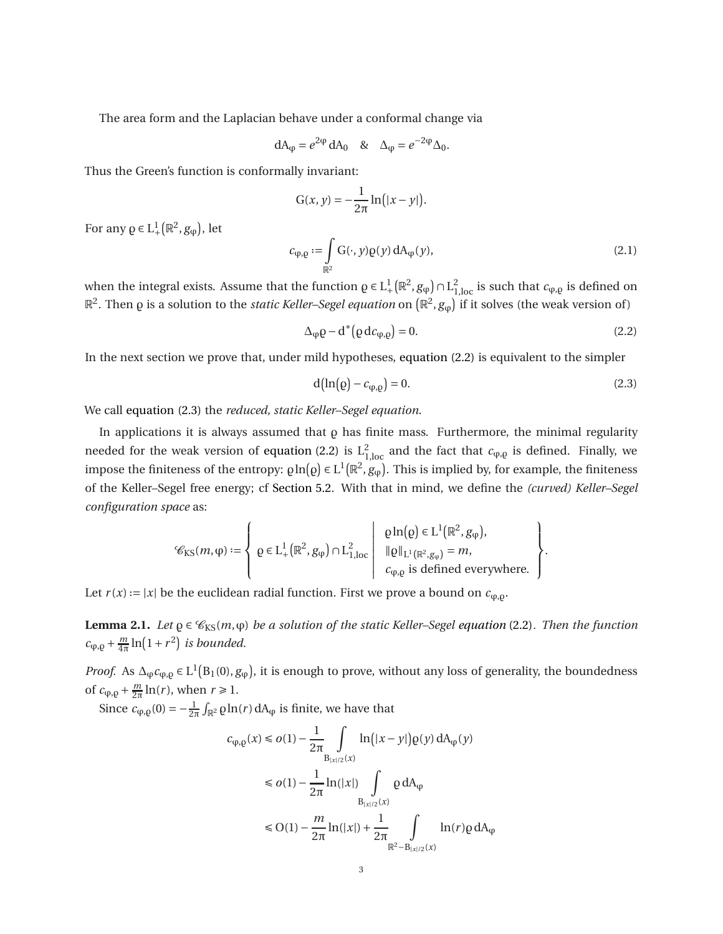The area form and the Laplacian behave under a conformal change via

$$
dA_{\varphi} = e^{2\varphi} dA_0 \quad \& \quad \Delta_{\varphi} = e^{-2\varphi} \Delta_0.
$$

Thus the Green's function is conformally invariant:

$$
G(x, y) = -\frac{1}{2\pi} \ln(|x - y|).
$$

For any  $\varrho \in L^1_+$  $^1_+(\mathbb{R}^2, g_\varphi)$ , let

<span id="page-2-3"></span>
$$
c_{\varphi,\varrho} := \int\limits_{\mathbb{R}^2} G(\cdot,y)\varrho(y) \, dA_{\varphi}(y),\tag{2.1}
$$

when the integral exists. Assume that the function  $\rho \in L^1_+$  $^{1}_{+}(\mathbb{R}^{2}, g_{\phi}) \cap L^{2}_{1,loc}$  is such that  $c_{\phi,\rho}$  is defined on  $\mathbb{R}^2$ . Then  $\varrho$  is a solution to the *static Keller–Segel equation* on  $(\mathbb{R}^2,g_\varphi)$  if it solves (the weak version of)

<span id="page-2-1"></span>
$$
\Delta_{\phi}\rho - d^*\big(\rho d c_{\phi,\rho}\big) = 0. \tag{2.2}
$$

In the next section we prove that, under mild hypotheses, [equation \(2.2\)](#page-2-1) is equivalent to the simpler

<span id="page-2-0"></span>
$$
d\big(\ln\big( \rho\big) - c_{\varphi, \varrho} \big) = 0. \tag{2.3}
$$

.

We call [equation \(2.3\)](#page-2-0) the *reduced, static Keller–Segel equation*.

In applications it is always assumed that  $\rho$  has finite mass. Furthermore, the minimal regularity needed for the weak version of [equation \(2.2\)](#page-2-1) is  $L^2_{1,\text{loc}}$  and the fact that  $c_{\varphi,\varrho}$  is defined. Finally, we impose the finiteness of the entropy:  $\varrho \ln(\varrho) \in L^1(\mathbb{R}^2, g_\varphi)$ . This is implied by, for example, the finiteness of the Keller–Segel free energy; cf [Section 5.2.](#page-11-0) With that in mind, we define the *(curved) Keller–Segel configuration space* as:

$$
\mathcal{C}_{\text{KS}}(m,\phi) := \left\{ \left. \varrho \in \mathrm{L}^1_+ \big( \mathbb{R}^2, g_{\phi} \big) \cap \mathrm{L}^2_{1,\text{loc}} \right| \, \begin{array}{l} \varrho \ln(\varrho) \in \mathrm{L}^1 \big( \mathbb{R}^2, g_{\phi} \big), \\ \| \varrho \|_{\mathrm{L}^1 \big( \mathbb{R}^2, g_{\phi} \big)} = m, \\ c_{\phi,\varrho} \text{ is defined everywhere.} \end{array} \right\}
$$

<span id="page-2-2"></span>Let  $r(x) := |x|$  be the euclidean radial function. First we prove a bound on  $c_{\varphi, \varrho}$ .

**Lemma 2.1.** *Let*  $\rho \in \mathcal{C}_{KS}(m,\varphi)$  *be a solution of the static Keller–Segel [equation](#page-2-1)* (2.2)*. Then the function*  $c_{\varphi,\varrho} + \frac{m}{4\pi} \ln(1+r^2)$  *is bounded.* 

*Proof.* As  $\Delta_{\phi}c_{\phi,\rho} \in L^1(B_1(0), g_{\phi})$ , it is enough to prove, without any loss of generality, the boundedness of  $c_{\varphi, \varrho} + \frac{m}{2\pi} \ln(r)$ , when  $r \ge 1$ .

Since  $c_{\varphi, \varrho}(0) = -\frac{1}{2\pi} \int_{\mathbb{R}^2} \varrho \ln(r) dA_{\varphi}$  is finite, we have that

$$
c_{\varphi,\varrho}(x) \le o(1) - \frac{1}{2\pi} \int_{B_{|x|/2}(x)} \ln(|x - y|) \varrho(y) dA_{\varphi}(y)
$$
  
\n
$$
\le o(1) - \frac{1}{2\pi} \ln(|x|) \int_{B_{|x|/2}(x)} \varrho dA_{\varphi}
$$
  
\n
$$
\le O(1) - \frac{m}{2\pi} \ln(|x|) + \frac{1}{2\pi} \int_{\mathbb{R}^2 - B_{|x|/2}(x)} \ln(r) \varrho dA_{\varphi}
$$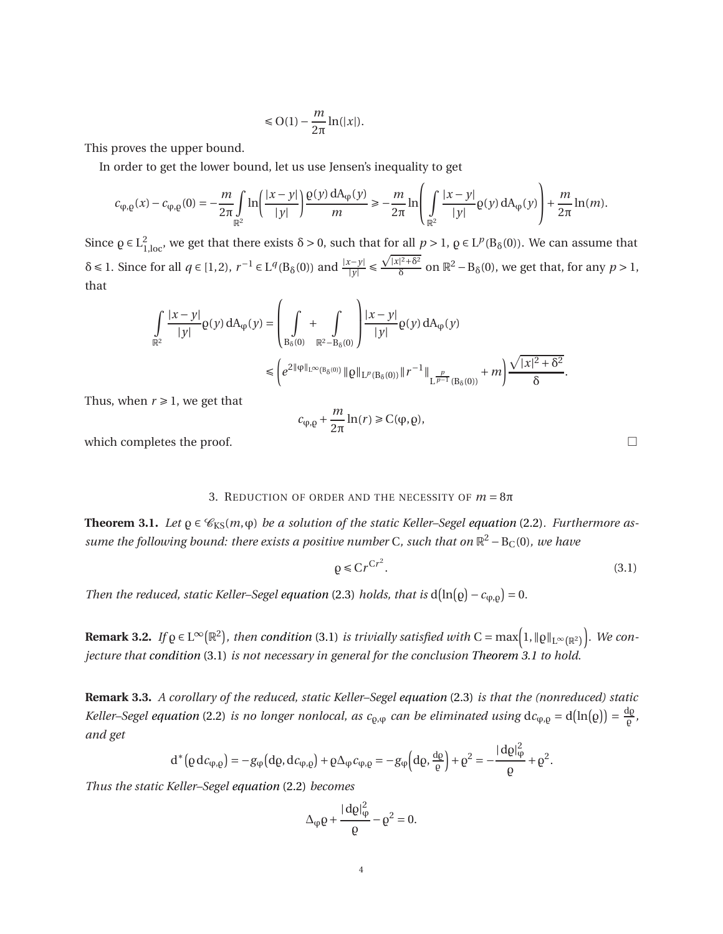$$
\leqslant \mathrm{O}(1)-\frac{m}{2\pi}\ln(|x|).
$$

This proves the upper bound.

In order to get the lower bound, let us use Jensen's inequality to get

$$
c_{\phi,\rho}(x) - c_{\phi,\rho}(0) = -\frac{m}{2\pi} \int_{\mathbb{R}^2} \ln\left(\frac{|x-y|}{|y|}\right) \frac{\rho(y) dA_{\phi}(y)}{m} \ge -\frac{m}{2\pi} \ln\left(\int_{\mathbb{R}^2} \frac{|x-y|}{|y|} \rho(y) dA_{\phi}(y)\right) + \frac{m}{2\pi} \ln(m).
$$

Since  $\rho \in L^2_{1,\text{loc}}$ , we get that there exists  $\delta > 0$ , such that for all  $p > 1$ ,  $\rho \in L^p(B_\delta(0))$ . We can assume that  $\delta \le 1$ . Since for all  $q \in [1,2)$ ,  $r^{-1} \in L^q(B_\delta(0))$  and  $\frac{|x-y|}{|y|} \le$  $\sqrt{|x|^2+\delta^2}$  $\frac{p^2+6^2}{\delta}$  on  $\mathbb{R}^2 - B_\delta(0)$ , we get that, for any  $p > 1$ , that

$$
\int_{\mathbb{R}^2} \frac{|x-y|}{|y|} \varrho(y) dA_{\varphi}(y) = \left(\int_{B_{\delta}(0)} + \int_{\mathbb{R}^2 - B_{\delta}(0)} \frac{|x-y|}{|y|} \varrho(y) dA_{\varphi}(y) \right) \le \left(e^{2\|\varphi\|_{L^{\infty}(B_{\delta}(0))}} \|\varrho\|_{L^p(B_{\delta}(0))} \|r^{-1}\|_{L^{\frac{p}{p-1}}(B_{\delta}(0))} + m\right) \frac{\sqrt{|x|^2 + \delta^2}}{\delta}.
$$

Thus, when  $r \geq 1$ , we get that

$$
c_{\phi,\varrho}+\frac{m}{2\pi}\ln(r)\geq C(\phi,\varrho),
$$

<span id="page-3-0"></span>which completes the proof.  $\Box$ 

### 3. REDUCTION OF ORDER AND THE NECESSITY OF  $m = 8\pi$

<span id="page-3-1"></span>**Theorem 3.1.** Let  $\rho \in \mathcal{C}_{KS}(m, \varphi)$  be a solution of the static Keller–Segel [equation](#page-2-1) (2.2). Furthermore as*sume the following bound: there exists a positive number* C*, such that on* R <sup>2</sup> <sup>−</sup>BC(0)*, we have*

<span id="page-3-2"></span>
$$
\rho \le Cr^{Cr^2}.\tag{3.1}
$$

*Then the reduced, static Keller–Segel [equation](#page-2-0)* (2.3) *holds, that is*  $d(ln(\rho) - c_{\phi, \rho}) = 0$ .

**Remark 3.2.** *If*  $\varrho \in L^{\infty}(\mathbb{R}^2)$ , then [condition](#page-3-2) (3.1) *is trivially satisfied with* C = max $\left(1,\|\varrho\|_{L^{\infty}(\mathbb{R}^2)}\right)$ ´ *. We conjecture that [condition](#page-3-2)* (3.1) *is not necessary in general for the conclusion [Theorem 3.1](#page-3-1) to hold.*

**Remark 3.3.** *A corollary of the reduced, static Keller–Segel [equation](#page-2-0)* (2.3) *is that the (nonreduced) static Keller–Segel [equation](#page-2-1)* (2.2) *is no longer nonlocal, as c*<sub>Q, $\phi$ </sub> *can be eliminated using*  $dc_{\phi,\rho} = d(ln(\rho)) = \frac{d\rho}{\rho}$ ̺ *, and get*

$$
d^*\big(\varrho\,dc_{\varphi,\varrho}\big)=-g_\varphi\big(d\varrho,d\mathcal{C}_{\varphi,\varrho}\big)+\varrho\Delta_\varphi\mathcal{C}_{\varphi,\varrho}=-g_\varphi\big(d\varrho,\frac{d\varrho}{\varrho}\big)+\varrho^2=-\frac{|\,d\varrho|^2_\varphi}{\varrho}+\varrho^2.
$$

*Thus the static Keller–Segel [equation](#page-2-1)* (2.2) *becomes*

$$
\Delta_{\phi}\varrho + \frac{|\,\mathrm{d}\varrho|^2_{\phi}}{\varrho} - \varrho^2 = 0.
$$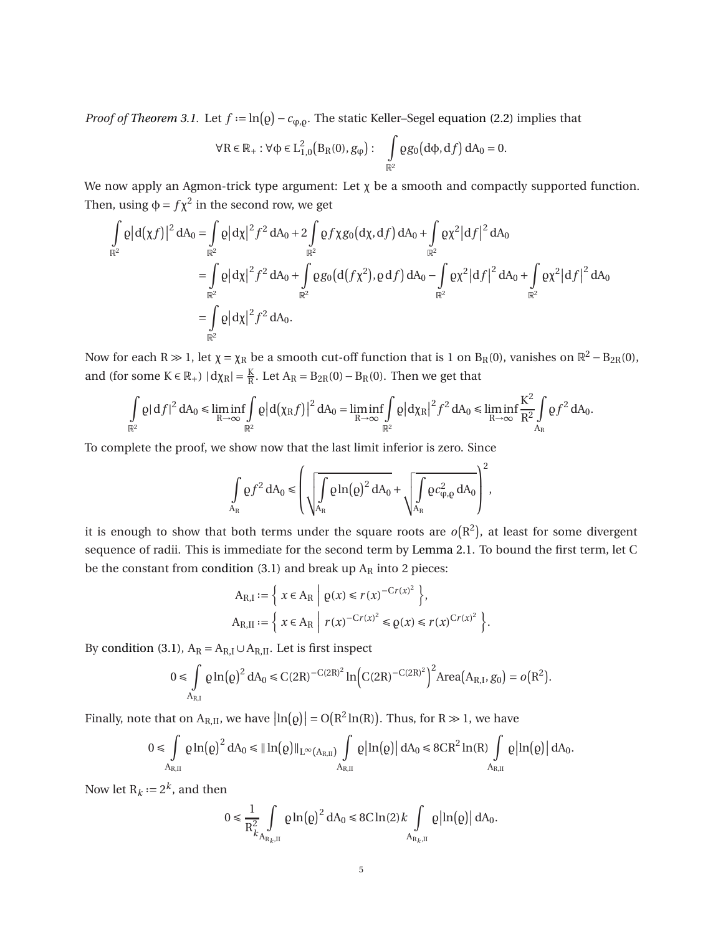*Proof of [Theorem 3.1.](#page-3-1)* Let  $f := \ln(\rho) - c_{\phi, \rho}$ . The static Keller–Segel [equation \(2.2\)](#page-2-1) implies that

$$
\forall R \in \mathbb{R}_+ : \forall \varphi \in L^2_{1,0}\big(B_R(0),g_\phi\big): \quad \int\limits_{\mathbb{R}^2} \varrho g_0\big(d\varphi,df\big)\,dA_0 = 0.
$$

We now apply an Agmon-trick type argument: Let  $\chi$  be a smooth and compactly supported function. Then, using  $\phi = f\chi^2$  in the second row, we get

$$
\int_{\mathbb{R}^2} \rho |d(\chi f)|^2 dA_0 = \int_{\mathbb{R}^2} \rho |d\chi|^2 f^2 dA_0 + 2 \int_{\mathbb{R}^2} \rho f \chi g_0(d\chi, df) dA_0 + \int_{\mathbb{R}^2} \rho \chi^2 |df|^2 dA_0
$$
  
\n
$$
= \int_{\mathbb{R}^2} \rho |d\chi|^2 f^2 dA_0 + \int_{\mathbb{R}^2} \rho g_0(d(f\chi^2), \rho df) dA_0 - \int_{\mathbb{R}^2} \rho \chi^2 |df|^2 dA_0 + \int_{\mathbb{R}^2} \rho \chi^2 |df|^2 dA_0
$$
  
\n
$$
= \int_{\mathbb{R}^2} \rho |d\chi|^2 f^2 dA_0.
$$

Now for each R  $\gg$  1, let  $\chi = \chi_R$  be a smooth cut-off function that is 1 on B<sub>R</sub>(0), vanishes on  $\mathbb{R}^2 - B_{2R}(0)$ , and (for some  $K \in \mathbb{R}_+$ )  $|d\chi_R| = \frac{K}{R}$ . Let  $A_R = B_{2R}(0) - B_R(0)$ . Then we get that

$$
\int\limits_{\mathbb{R}^2}\varrho|\,df|^2\,dA_0\leqslant \liminf\limits_{R\to\infty}\int\limits_{\mathbb{R}^2}\varrho\big|d\big(\chi_Rf\big)\big|^2\,dA_0=\liminf\limits_{R\to\infty}\int\limits_{\mathbb{R}^2}\varrho\big|d\chi_R\big|^2f^2\,dA_0\leqslant \liminf\limits_{R\to\infty}\frac{K^2}{R^2}\int\limits_{A_R}\varrho f^2\,dA_0.
$$

To complete the proof, we show now that the last limit inferior is zero. Since

$$
\int\limits_{A_{R}}\varrho f^{2}\,dA_{0}\leqslant \left(\sqrt{\int\limits_{A_{R}}\varrho\ln\!\left(\varrho\right)^{2}dA_{0}}+\sqrt{\int\limits_{A_{R}}\varrho c_{\phi,\varrho}^{2}\,dA_{0}}\right)^{2},
$$

it is enough to show that both terms under the square roots are  $o(R^2)$ , at least for some divergent sequence of radii. This is immediate for the second term by [Lemma 2.1.](#page-2-2) To bound the first term, let C be the constant from [condition \(3.1\)](#page-3-2) and break up  $A_R$  into 2 pieces:

$$
A_{R,I} := \left\{ x \in A_R \middle| \varrho(x) \le r(x)^{-Cr(x)^2} \right\},\,
$$
  

$$
A_{R,II} := \left\{ x \in A_R \middle| r(x)^{-Cr(x)^2} \le \varrho(x) \le r(x)^{Cr(x)^2} \right\}.
$$

By [condition \(3.1\),](#page-3-2)  $A_R = A_{R,I} \cup A_{R,II}$ . Let is first inspect

$$
0 \leq \int\limits_{{A_{R,I}}} {\varrho \ln ({\varrho })^2}\,d{A_0} \leqslant C{{\left( {2R} \right)}^{ - C\left( {2R} \right)^2}}\ln \Bigl( {C{{\left( {2R} \right)}^{ - C\left( {2R} \right)^2}}} \Bigr)^2}{\rm{Area}}{{\left( {{A_{R,I}},{g_0}} \right)}} = o\bigl( {{R^2}} \bigr).
$$

Finally, note that on  $A_{R,II}$ , we have  $\left|ln(\varrho)\right| = O(R^2 ln(R))$ . Thus, for  $R \gg 1$ , we have

$$
0\leqslant \int\limits_{A_{R,\mathrm{II}}} \varrho \ln\!\big(\varrho\big)^2\,\mathrm{dA}_0 \leqslant \|\ln\!\big(\varrho\big)\|_{L^\infty(A_{R,\mathrm{II}})}\int\limits_{A_{R,\mathrm{II}}} \varrho\big|\ln\!\big(\varrho\big)\big|\,\mathrm{dA}_0 \leqslant 8CR^2\ln(R)\int\limits_{A_{R,\mathrm{II}}} \varrho\big|\ln\!\big(\varrho\big)\big|\,\mathrm{dA}_0.
$$

Now let  $R_k := 2^k$ , and then

$$
0 \leq \frac{1}{R_{k}^2} \int\limits_{A_{R_k,\mathrm{II}}} \varrho \ln(\varrho)^2 \, \mathrm{d}A_0 \leq 8C \ln(2) k \int\limits_{A_{R_k,\mathrm{II}}} \varrho \left| \ln(\varrho) \right| \mathrm{d}A_0.
$$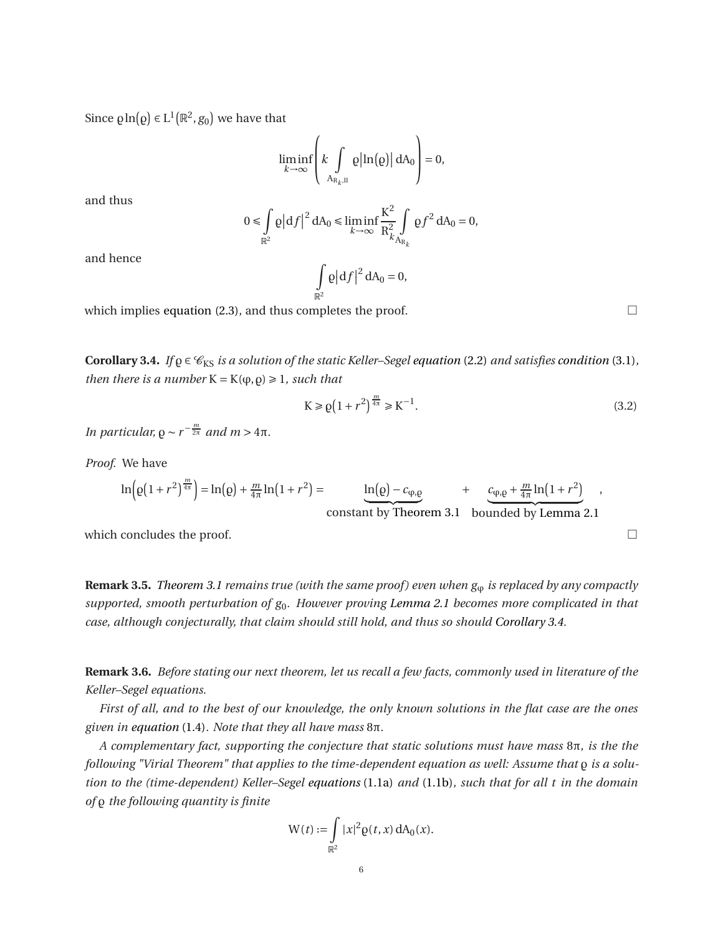Since  $\varrho \ln(\varrho) \in L^1(\mathbb{R}^2, g_0)$  we have that

$$
\liminf_{k \to \infty} \left( k \int\limits_{A_{R_k,II}} \rho \left| \ln(\rho) \right| dA_0 \right) = 0,
$$

and thus

$$
0 \leq \int\limits_{\mathbb{R}^2} \varrho \big| \mathrm{d} f \big|^2 \, \mathrm{d} A_0 \leq \liminf\limits_{k \to \infty} \frac{K^2}{R^2_{k} \int\limits_{A_{R_k}}} \varrho f^2 \, \mathrm{d} A_0 = 0,
$$

and hence

$$
\int_{\mathbb{R}^2} \varrho \big| df \big|^2 dA_0 = 0,
$$

<span id="page-5-0"></span>which implies [equation \(2.3\),](#page-2-0) and thus completes the proof.  $\Box$ 

**Corollary 3.4.** *If*  $\rho \in \mathcal{C}_{KS}$  *is a solution of the static Keller–Segel [equation](#page-2-1)* (2.2) *and satisfies [condition](#page-3-2)* (3.1), *then there is a number*  $K = K(\varphi, \rho) \geq 1$ *, such that* 

<span id="page-5-1"></span>
$$
K \ge \varrho \left( 1 + r^2 \right)^{\frac{m}{4\pi}} \ge K^{-1}.
$$
\n(3.2)

*In particular,*  $\rho \sim r^{-\frac{m}{2\pi}}$  *and*  $m > 4\pi$ *.* 

*Proof.* We have

$$
\ln\left(\varrho\left(1+r^2\right)^{\frac{m}{4\pi}}\right) = \ln\left(\varrho\right) + \frac{m}{4\pi}\ln\left(1+r^2\right) = \underbrace{\ln\left(\varrho\right) - c_{\varphi,\varrho}}_{\text{constant by Theorem 3.1 bounded by Lemma 2.1}},
$$

which concludes the proof.  $\Box$ 

**Remark 3.5.** *[Theorem 3.1](#page-3-1) remains true (with the same proof) even when*  $g_{\varphi}$  *is replaced by any compactly supported, smooth perturbation of g*0*. However proving [Lemma 2.1](#page-2-2) becomes more complicated in that case, although conjecturally, that claim should still hold, and thus so should [Corollary 3.4.](#page-5-0)*

**Remark 3.6.** *Before stating our next theorem, let us recall a few facts, commonly used in literature of the Keller–Segel equations.*

*First of all, and to the best of our knowledge, the only known solutions in the flat case are the ones given in [equation](#page-1-2)* (1.4)*. Note that they all have mass* 8π*.*

*A complementary fact, supporting the conjecture that static solutions must have mass* 8π*, is the the following "Virial Theorem" that applies to the time-dependent equation as well: Assume that* ̺ *is a solution to the (time-dependent) Keller–Segel [equations](#page-0-0)* (1.1a) *and* [\(1.1b\)](#page-0-1)*, such that for all t in the domain of* ̺ *the following quantity is finite*

$$
W(t) := \int_{\mathbb{R}^2} |x|^2 \varrho(t, x) dA_0(x).
$$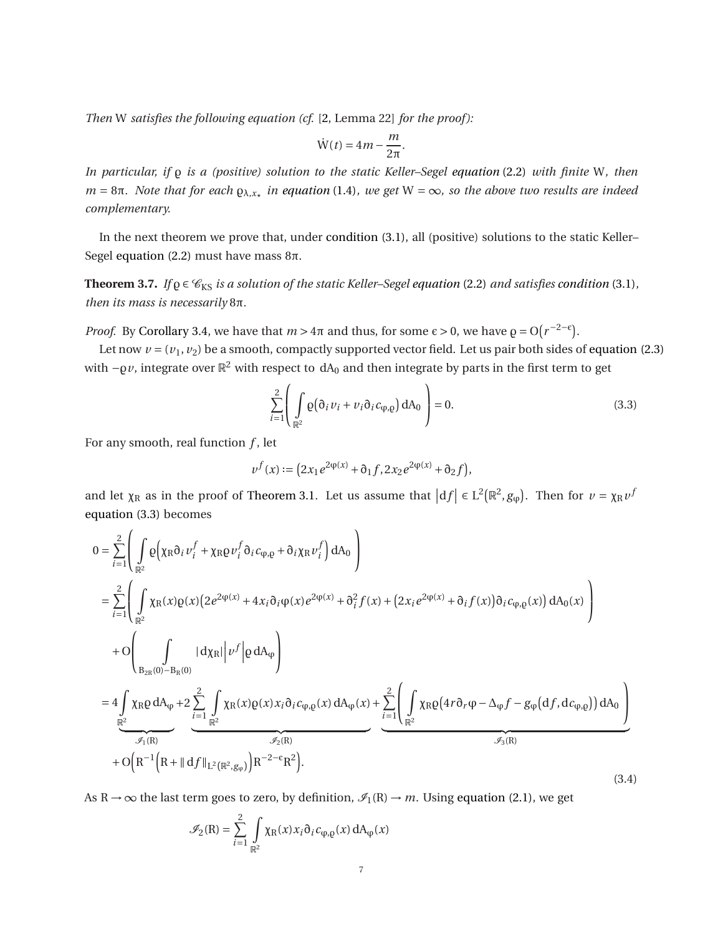*Then* W *satisfies the following equation (cf.* [\[2,](#page-14-0) Lemma 22] *for the proof ):*

$$
\dot{W}(t) = 4m - \frac{m}{2\pi}.
$$

*In particular, if* ̺ *is a (positive) solution to the static Keller–Segel [equation](#page-2-1)* (2.2) *with finite* W*, then*  $m = 8\pi$ . Note that for each  $Q_{\lambda,x_{\star}}$  *in [equation](#page-1-2)* (1.4)*, we get* W =  $\infty$ *, so the above two results are indeed complementary.*

<span id="page-6-0"></span>In the next theorem we prove that, under [condition \(3.1\),](#page-3-2) all (positive) solutions to the static Keller– Segel [equation \(2.2\)](#page-2-1) must have mass  $8π$ .

**Theorem 3.7.** *If*  $\varrho \in \mathcal{C}_{KS}$  *is a solution of the static Keller–Segel [equation](#page-2-1)* (2.2) *and satisfies [condition](#page-3-2)* (3.1), *then its mass is necessarily* 8π*.*

*Proof.* By [Corollary 3.4,](#page-5-0) we have that  $m > 4\pi$  and thus, for some  $\epsilon > 0$ , we have  $\rho = O(r^{-2-\epsilon})$ .

Let now  $v = (v_1, v_2)$  be a smooth, compactly supported vector field. Let us pair both sides of [equation \(2.3\)](#page-2-0) with  $-q\nu$ , integrate over  $\mathbb{R}^2$  with respect to  $dA_0$  and then integrate by parts in the first term to get

<span id="page-6-1"></span>
$$
\sum_{i=1}^{2} \left( \int_{\mathbb{R}^2} \varrho \big( \partial_i v_i + v_i \partial_i c_{\varphi, \varrho} \big) dA_0 \right) = 0.
$$
\n(3.3)

For any smooth, real function *f* , let

$$
v^f(x):=\big(2x_1e^{2\phi(x)}+\mathfrak{d}_1f,2x_2e^{2\phi(x)}+\mathfrak{d}_2f\big),
$$

and let  $\chi_R$  as in the proof of [Theorem 3.1.](#page-3-1) Let us assume that  $|df| \in L^2(\mathbb{R}^2, g_\phi)$ . Then for  $\nu = \chi_R \nu^f$ [equation \(3.3\)](#page-6-1) becomes

<span id="page-6-2"></span>
$$
0 = \sum_{i=1}^{2} \left( \int_{\mathbb{R}^{2}} \varrho \Big( \chi_{R} \partial_{i} v_{i}^{f} + \chi_{R} \varrho v_{i}^{f} \partial_{i} c_{\varphi, \varrho} + \partial_{i} \chi_{R} v_{i}^{f} \Big) dA_{0} \right)
$$
  
\n
$$
= \sum_{i=1}^{2} \left( \int_{\mathbb{R}^{2}} \chi_{R}(x) \varrho(x) \Big( 2e^{2\varphi(x)} + 4x_{i} \partial_{i} \varphi(x) e^{2\varphi(x)} + \partial_{i}^{2} f(x) + \Big( 2x_{i} e^{2\varphi(x)} + \partial_{i} f(x) \Big) \partial_{i} c_{\varphi, \varrho}(x) \Big) dA_{0}(x) \right)
$$
  
\n
$$
+ O \left( \int_{B_{2R}(0) - B_{R}(0)} |d\chi_{R}| \Big| v^{f} \Big| \varrho dA_{\varphi} \right)
$$
  
\n
$$
= 4 \int_{\mathbb{R}^{2}} \chi_{R} \varrho dA_{\varphi} + 2 \sum_{i=1}^{2} \int_{\mathbb{R}^{2}} \chi_{R}(x) \varrho(x) x_{i} \partial_{i} c_{\varphi, \varrho}(x) dA_{\varphi}(x) + \sum_{i=1}^{2} \left( \int_{\mathbb{R}^{2}} \chi_{R} \varrho \Big( 4r \partial_{r} \varphi - \Delta_{\varphi} f - g_{\varphi} \Big( df, dc_{\varphi, \varrho} \Big) \Big) dA_{0} \right)
$$
  
\n
$$
+ O \Big( R^{-1} \Big( R + \| df \|_{L^{2}(\mathbb{R}^{2}, g_{\varphi})} \Big) R^{-2-\epsilon} R^{2} \Big). \tag{3.4}
$$

As R  $\rightarrow \infty$  the last term goes to zero, by definition,  $\mathcal{I}_1(R) \rightarrow m$ . Using [equation \(2.1\),](#page-2-3) we get

$$
\mathcal{I}_2(R) = \sum_{i=1}^2 \int_{\mathbb{R}^2} \chi_R(x) x_i \partial_i c_{\varphi, \varrho}(x) dA_{\varphi}(x)
$$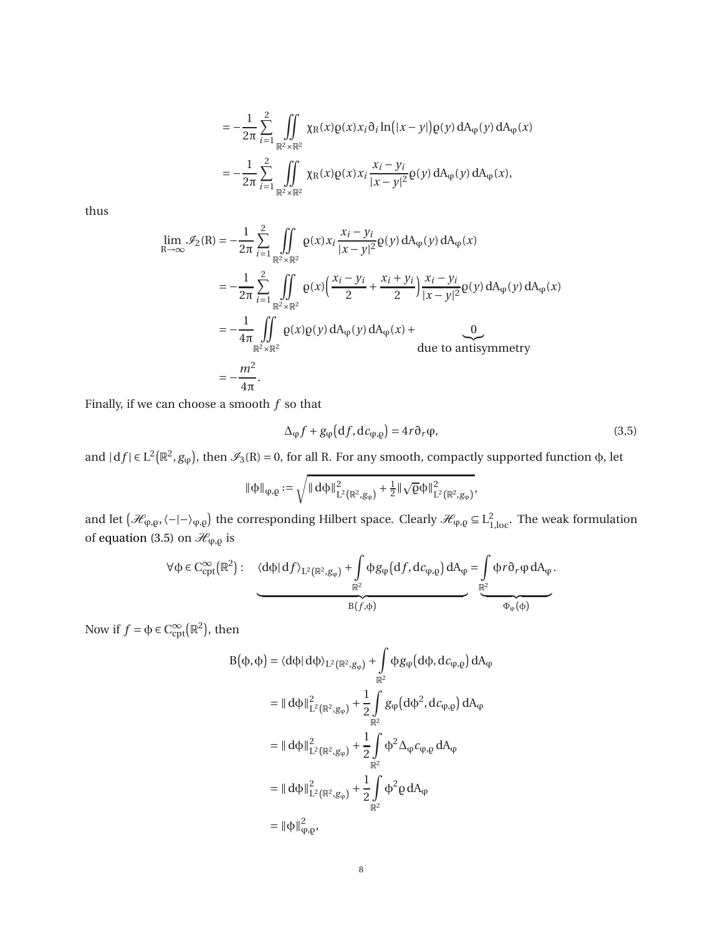$$
= -\frac{1}{2\pi} \sum_{i=1}^{2} \iint_{\mathbb{R}^{2} \times \mathbb{R}^{2}} \chi_{R}(x) \varrho(x) x_{i} \partial_{i} \ln(|x - y|) \varrho(y) dA_{\varphi}(y) dA_{\varphi}(x)
$$
  

$$
= -\frac{1}{2\pi} \sum_{i=1}^{2} \iint_{\mathbb{R}^{2} \times \mathbb{R}^{2}} \chi_{R}(x) \varrho(x) x_{i} \frac{x_{i} - y_{i}}{|x - y|^{2}} \varrho(y) dA_{\varphi}(y) dA_{\varphi}(x),
$$

thus

$$
\lim_{R \to \infty} \mathcal{I}_2(R) = -\frac{1}{2\pi} \sum_{i=1}^2 \iint_{\mathbb{R}^2 \times \mathbb{R}^2} \varrho(x) x_i \frac{x_i - y_i}{|x - y|^2} \varrho(y) dA_{\varphi}(y) dA_{\varphi}(x)
$$
  
\n
$$
= -\frac{1}{2\pi} \sum_{i=1}^2 \iint_{\mathbb{R}^2 \times \mathbb{R}^2} \varrho(x) \left( \frac{x_i - y_i}{2} + \frac{x_i + y_i}{2} \right) \frac{x_i - y_i}{|x - y|^2} \varrho(y) dA_{\varphi}(y) dA_{\varphi}(x)
$$
  
\n
$$
= -\frac{1}{4\pi} \iint_{\mathbb{R}^2 \times \mathbb{R}^2} \varrho(x) \varrho(y) dA_{\varphi}(y) dA_{\varphi}(x) + \frac{0}{\text{due to antisymmetry}}
$$
  
\n
$$
= -\frac{m^2}{4\pi}.
$$

Finally, if we can choose a smooth *f* so that

<span id="page-7-0"></span>
$$
\Delta_{\varphi} f + g_{\varphi} \left( \mathrm{d}f, \mathrm{d}c_{\varphi, \varrho} \right) = 4r \partial_r \varphi, \tag{3.5}
$$

and  $|df| \in L^2(\mathbb{R}^2, g_\phi)$ , then  $\mathcal{I}_3(R) = 0$ , for all R. For any smooth, compactly supported function  $\phi$ , let

$$
\|\varphi\|_{\phi,\varrho}:=\sqrt{\|\,d\varphi\|^2_{L^2\left(\mathbb{R}^2,g_\phi\right)}+\tfrac{1}{2}\|\sqrt{\varrho}\varphi\|^2_{L^2\left(\mathbb{R}^2,g_\phi\right)}},
$$

and let  $(\mathcal{H}_{\phi,\rho},\langle -|-\rangle_{\phi,\rho})$  the corresponding Hilbert space. Clearly  $\mathcal{H}_{\phi,\rho} \subseteq L^2_{1,\text{loc}}$ . The weak formulation of [equation \(3.5\)](#page-7-0) on  $\mathcal{H}_{\phi,\varrho}$  is

$$
\forall \varphi \in C_{cpt}^{\infty}(\mathbb{R}^2): \quad \langle d\varphi | df \rangle_{L^2(\mathbb{R}^2, g_{\phi})} + \int\limits_{\mathbb{R}^2} \varphi g_{\phi}(df, dc_{\phi,\varrho}) dA_{\phi} = \int\limits_{\mathbb{R}^2} \varphi r \partial_r \phi dA_{\phi}.
$$

Now if  $f = \phi \in C_{\text{cpt}}^{\infty}(\mathbb{R}^2)$ , then

$$
B(\phi, \phi) = \langle d\phi | d\phi \rangle_{L^2(\mathbb{R}^2, g_\phi)} + \int_{\mathbb{R}^2} \phi g_\phi (d\phi, dc_{\phi, \rho}) dA_\phi
$$
  
\n
$$
= || d\phi ||_{L^2(\mathbb{R}^2, g_\phi)}^2 + \frac{1}{2} \int_{\mathbb{R}^2} g_\phi (d\phi^2, dc_{\phi, \rho}) dA_\phi
$$
  
\n
$$
= || d\phi ||_{L^2(\mathbb{R}^2, g_\phi)}^2 + \frac{1}{2} \int_{\mathbb{R}^2} \phi^2 \Delta_\phi c_{\phi, \rho} dA_\phi
$$
  
\n
$$
= || d\phi ||_{L^2(\mathbb{R}^2, g_\phi)}^2 + \frac{1}{2} \int_{\mathbb{R}^2} \phi^2 \rho dA_\phi
$$
  
\n
$$
= || \phi ||_{\phi, \rho}^2,
$$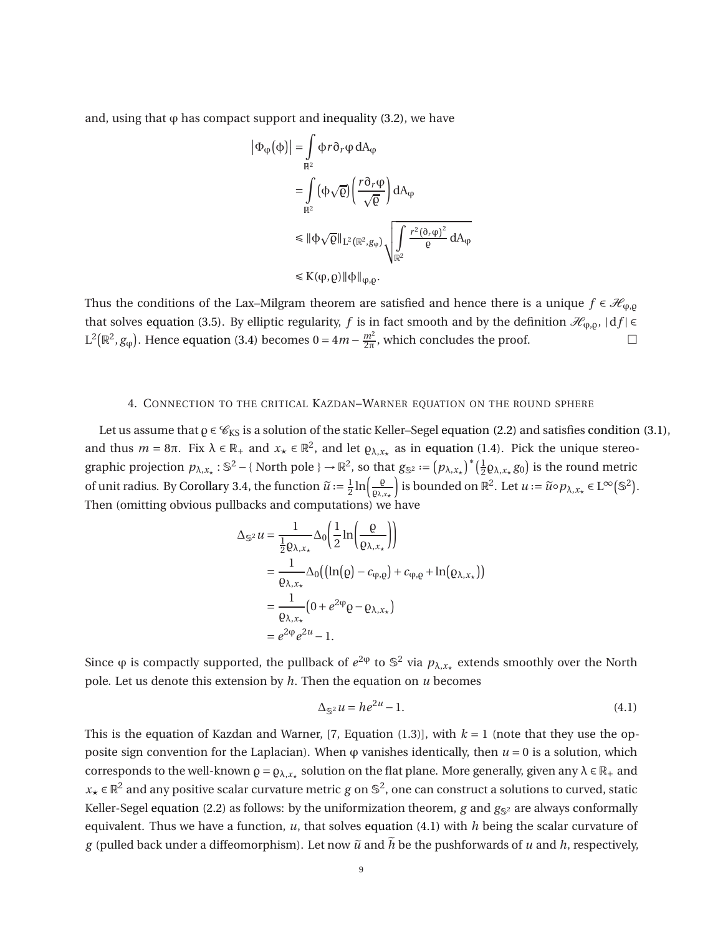and, using that  $\varphi$  has compact support and [inequality \(3.2\),](#page-5-1) we have

$$
\begin{aligned} \left| \Phi_{\phi}(\phi) \right| &= \int_{\mathbb{R}^2} \varphi r \partial_r \phi \, dA_{\phi} \\ &= \int_{\mathbb{R}^2} (\varphi \sqrt{\varrho}) \left( \frac{r \partial_r \phi}{\sqrt{\varrho}} \right) dA_{\phi} \\ &\leq \| \varphi \sqrt{\varrho} \|_{L^2(\mathbb{R}^2, g_{\phi})} \sqrt{\int_{\mathbb{R}^2} \frac{r^2 (\partial_r \phi)^2}{\varrho} \, dA_{\phi}} \\ &\leq K(\phi, \varrho) \| \varphi \|_{\phi, \varrho}. \end{aligned}
$$

Thus the conditions of the Lax–Milgram theorem are satisfied and hence there is a unique  $f \in \mathcal{H}_{\varphi, \rho}$ that solves [equation \(3.5\).](#page-7-0) By elliptic regularity, *f* is in fact smooth and by the definition  $\mathcal{H}_{\varphi,\varrho}$ ,  $|df| \in$  $L^2(\mathbb{R}^2, g_{\phi})$ . Hence [equation \(3.4\)](#page-6-2) becomes  $0 = 4m - \frac{m^2}{2\pi}$  $\frac{m^2}{2\pi}$ , which concludes the proof.

#### 4. CONNECTION TO THE CRITICAL KAZDAN–WARNER EQUATION ON THE ROUND SPHERE

<span id="page-8-0"></span>Let us assume that  $\rho \in \mathcal{C}_{KS}$  is a solution of the static Keller–Segel [equation \(2.2\)](#page-2-1) and satisfies [condition \(3.1\),](#page-3-2) and thus  $m = 8\pi$ . Fix  $\lambda \in \mathbb{R}_+$  and  $x_{\star} \in \mathbb{R}^2$ , and let  $\varrho_{\lambda,x_{\star}}$  as in [equation \(1.4\).](#page-1-2) Pick the unique stereographic projection  $p_{\lambda,x_*}: \mathbb{S}^2 - \{ \text{North pole } \} \to \mathbb{R}^2$ , so that  $g_{\mathbb{S}^2} := (p_{\lambda,x_*})^* \left( \frac{1}{2} \right)$  $\frac{1}{2}$  *Q*λ,*x*<sub>\*</sub> *g*<sub>0</sub>) is the round metric of unit radius. By [Corollary 3.4,](#page-5-0) the function  $\widetilde{u} := \frac{1}{2}$  $rac{1}{2}$ ln $\left(\frac{\rho}{\rho_{\lambda,\nu}}\right)$ ̺λ,*x*<sup>⋆</sup> is bounded on ℝ<sup>2</sup>. Let *u* :=  $\tilde{u} \circ p_{\lambda, x_{\star}}$  ∈ L<sup>∞</sup>(S<sup>2</sup>). Then (omitting obvious pullbacks and computations) we have

$$
\Delta_{\mathbb{S}^2} u = \frac{1}{\frac{1}{2} \rho_{\lambda, x_{\star}}} \Delta_0 \left( \frac{1}{2} \ln \left( \frac{\rho}{\rho_{\lambda, x_{\star}}} \right) \right)
$$
  
= 
$$
\frac{1}{\rho_{\lambda, x_{\star}}} \Delta_0 \left( \left( \ln(\rho) - c_{\phi, \rho} \right) + c_{\phi, \rho} + \ln(\rho_{\lambda, x_{\star}}) \right)
$$
  
= 
$$
\frac{1}{\rho_{\lambda, x_{\star}}} \left( 0 + e^{2\phi} \rho - \rho_{\lambda, x_{\star}} \right)
$$
  
= 
$$
e^{2\phi} e^{2u} - 1.
$$

Since  $\varphi$  is compactly supported, the pullback of  $e^{2\varphi}$  to  $\mathbb{S}^2$  via  $p_{\lambda,x_\star}$  extends smoothly over the North pole. Let us denote this extension by *h*. Then the equation on *u* becomes

<span id="page-8-1"></span>
$$
\Delta_{\mathbb{S}^2} u = h e^{2u} - 1. \tag{4.1}
$$

This is the equation of Kazdan and Warner, [\[7,](#page-14-4) Equation (1.3)], with  $k = 1$  (note that they use the opposite sign convention for the Laplacian). When  $\varphi$  vanishes identically, then  $u = 0$  is a solution, which corresponds to the well-known  $\rho = \rho_{\lambda,x_*}$  solution on the flat plane. More generally, given any  $\lambda \in \mathbb{R}_+$  and  $x_★ \in \mathbb{R}^2$  and any positive scalar curvature metric *g* on  $\mathbb{S}^2$ , one can construct a solutions to curved, static Keller-Segel [equation \(2.2\)](#page-2-1) as follows: by the uniformization theorem,  $g$  and  $g_{\mathbb{S}^2}$  are always conformally equivalent. Thus we have a function, *u*, that solves [equation \(4.1\)](#page-8-1) with *h* being the scalar curvature of *g* (pulled back under a diffeomorphism). Let now  $\tilde{u}$  and  $\tilde{h}$  be the pushforwards of *u* and *h*, respectively,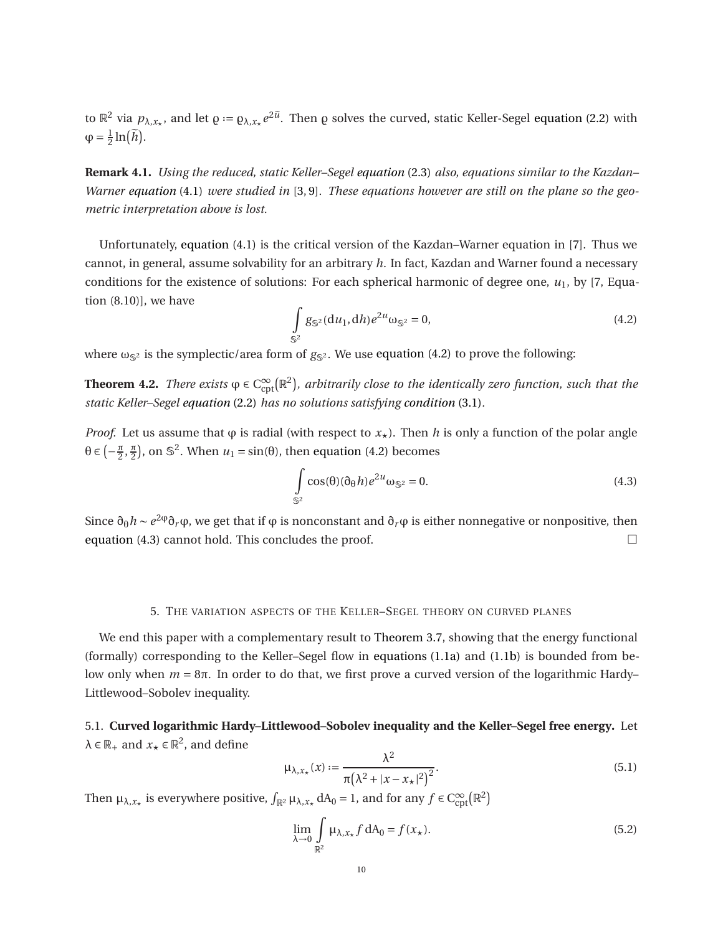to  $\mathbb{R}^2$  via  $p_{\lambda,x_*}$ , and let  $\varrho := \varrho_{\lambda,x_*} e^{2\tilde{u}}$ . Then  $\varrho$  solves the curved, static Keller-Segel [equation \(2.2\)](#page-2-1) with  $\varphi = \frac{1}{2}$  $\frac{1}{2}$ ln $(\tilde{h})$ .

**Remark 4.1.** *Using the reduced, static Keller–Segel [equation](#page-2-0)* (2.3) *also, equations similar to the Kazdan– Warner [equation](#page-8-1)* (4.1) *were studied in* [\[3,](#page-14-5) [9\]](#page-14-6)*. These equations however are still on the plane so the geometric interpretation above is lost.*

Unfortunately, [equation \(4.1\)](#page-8-1) is the critical version of the Kazdan–Warner equation in [\[7\]](#page-14-4). Thus we cannot, in general, assume solvability for an arbitrary *h*. In fact, Kazdan and Warner found a necessary conditions for the existence of solutions: For each spherical harmonic of degree one,  $u_1$ , by [\[7,](#page-14-4) Equation (8.10)], we have

<span id="page-9-2"></span>
$$
\int_{\mathbb{S}^2} g_{\mathbb{S}^2}(\mathrm{d}u_1, \mathrm{d}h) e^{2u} \omega_{\mathbb{S}^2} = 0, \tag{4.2}
$$

<span id="page-9-0"></span>where  $\omega_{\mathbb{S}^2}$  is the symplectic/area form of  $g_{\mathbb{S}^2}$ . We use [equation \(4.2\)](#page-9-2) to prove the following:

**Theorem 4.2.** *There exists*  $\varphi \in C_{\text{cpt}}^{\infty}(\mathbb{R}^2)$ *, arbitrarily close to the identically zero function, such that the static Keller–Segel [equation](#page-2-1)* (2.2) *has no solutions satisfying [condition](#page-3-2)* (3.1)*.*

*Proof.* Let us assume that  $\varphi$  is radial (with respect to  $x_{\star}$ ). Then *h* is only a function of the polar angle  $\theta \in \left(-\frac{\pi}{2}, \frac{\pi}{2}\right)$ , on  $\mathbb{S}^2$ . When  $u_1 = \sin(\theta)$ , then [equation \(4.2\)](#page-9-2) becomes

<span id="page-9-3"></span>
$$
\int_{\mathbb{S}^2} \cos(\theta)(\partial_\theta h) e^{2u} \omega_{\mathbb{S}^2} = 0.
$$
\n(4.3)

Since  $\partial_\theta h \sim e^{2\phi} \partial_r \phi$ , we get that if  $\phi$  is nonconstant and  $\partial_r \phi$  is either nonnegative or nonpositive, then [equation \(4.3\)](#page-9-3) cannot hold. This concludes the proof.

## 5. THE VARIATION ASPECTS OF THE KELLER–SEGEL THEORY ON CURVED PLANES

We end this paper with a complementary result to [Theorem 3.7,](#page-6-0) showing that the energy functional (formally) corresponding to the Keller–Segel flow in [equations \(1.1a\)](#page-0-0) and [\(1.1b\)](#page-0-1) is bounded from below only when  $m = 8\pi$ . In order to do that, we first prove a curved version of the logarithmic Hardy– Littlewood–Sobolev inequality.

# <span id="page-9-1"></span>5.1. **Curved logarithmic Hardy–Littlewood–Sobolev inequality and the Keller–Segel free energy.** Let  $\lambda \in \mathbb{R}_+$  and  $x_\star \in \mathbb{R}^2$ , and define

<span id="page-9-4"></span>
$$
\mu_{\lambda, x_{\star}}(x) := \frac{\lambda^2}{\pi(\lambda^2 + |x - x_{\star}|^2)^2}.
$$
\n(5.1)

Then  $\mu_{\lambda,x_{\star}}$  is everywhere positive,  $\int_{\mathbb{R}^2} \mu_{\lambda,x_{\star}} dA_0 = 1$ , and for any  $f \in C_{\text{cpt}}^{\infty}(\mathbb{R}^2)$ 

<span id="page-9-5"></span>
$$
\lim_{\lambda \to 0} \int_{\mathbb{R}^2} \mu_{\lambda, x_\star} f \, dA_0 = f(x_\star). \tag{5.2}
$$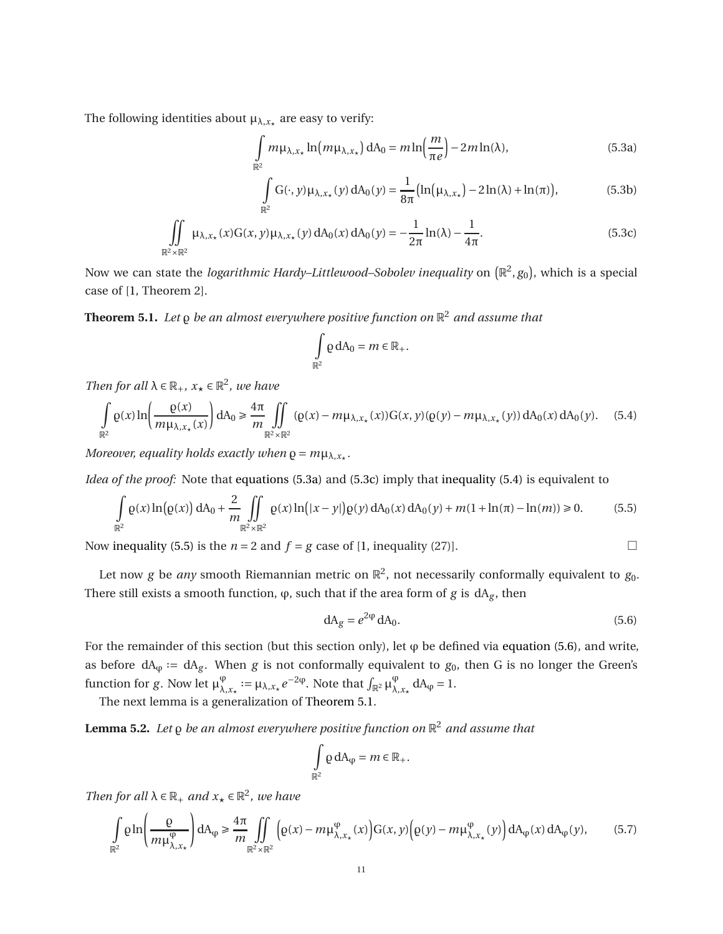The following identities about  $\mu_{\lambda, x_{\star}}$  are easy to verify:

$$
\int_{\mathbb{R}^2} m \mu_{\lambda, x_\star} \ln(m \mu_{\lambda, x_\star}) dA_0 = m \ln\left(\frac{m}{\pi e}\right) - 2m \ln(\lambda),\tag{5.3a}
$$

<span id="page-10-0"></span>
$$
\int_{\mathbb{R}^2} G(\cdot, y) \mu_{\lambda, x_\star}(y) dA_0(y) = \frac{1}{8\pi} \left( \ln(\mu_{\lambda, x_\star}) - 2\ln(\lambda) + \ln(\pi) \right),\tag{5.3b}
$$

$$
\iint_{\mathbb{R}^2 \times \mathbb{R}^2} \mu_{\lambda, x_{\star}}(x) G(x, y) \mu_{\lambda, x_{\star}}(y) dA_0(x) dA_0(y) = -\frac{1}{2\pi} \ln(\lambda) - \frac{1}{4\pi}.
$$
 (5.3c)

<span id="page-10-5"></span>Now we can state the *logarithmic Hardy–Littlewood–Sobolev inequality* on  $(\mathbb{R}^2,g_0)$ , which is a special case of [\[1,](#page-13-0) Theorem 2].

**Theorem 5.1.** *Let* ̺ *be an almost everywhere positive function on* R <sup>2</sup> *and assume that*

<span id="page-10-7"></span><span id="page-10-1"></span>
$$
\int_{\mathbb{R}^2} \rho \, dA_0 = m \in \mathbb{R}_+.
$$

*Then for all*  $\lambda \in \mathbb{R}_+$ *,*  $x_{\star} \in \mathbb{R}^2$ *, we have* 

<span id="page-10-2"></span>
$$
\int_{\mathbb{R}^2} \rho(x) \ln \left( \frac{\rho(x)}{m \mu_{\lambda, x_{\star}}(x)} \right) dA_0 \ge \frac{4\pi}{m} \iint_{\mathbb{R}^2 \times \mathbb{R}^2} (\rho(x) - m \mu_{\lambda, x_{\star}}(x)) G(x, y) (\rho(y) - m \mu_{\lambda, x_{\star}}(y)) dA_0(x) dA_0(y). \tag{5.4}
$$

*Moreover, equality holds exactly when*  $\varrho = m\mu_{\lambda, x_\star}$ .

*Idea of the proof:* Note that [equations \(5.3a\)](#page-10-0) and [\(5.3c\)](#page-10-1) imply that [inequality \(5.4\)](#page-10-2) is equivalent to

<span id="page-10-3"></span>
$$
\int_{\mathbb{R}^2} \rho(x) \ln(\rho(x)) dA_0 + \frac{2}{m} \iint_{\mathbb{R}^2 \times \mathbb{R}^2} \rho(x) \ln(|x - y|) \rho(y) dA_0(x) dA_0(y) + m(1 + \ln(\pi) - \ln(m)) \ge 0.
$$
 (5.5)

Now [inequality \(5.5\)](#page-10-3) is the  $n = 2$  and  $f = g$  case of [\[1,](#page-13-0) inequality (27)].

Let now  $g$  be *any* smooth Riemannian metric on  $\mathbb{R}^2$ , not necessarily conformally equivalent to  $g_0$ . There still exists a smooth function,  $\varphi$ , such that if the area form of *g* is  $dA_g$ , then

<span id="page-10-4"></span>
$$
dA_g = e^{2\varphi} dA_0. \tag{5.6}
$$

For the remainder of this section (but this section only), let  $\varphi$  be defined via [equation \(5.6\),](#page-10-4) and write, as before  $dA_{\varphi} := dA_g$ . When *g* is not conformally equivalent to *g*<sub>0</sub>, then *G* is no longer the Green's function for *g*. Now let  $\mu_{\lambda}^{\varphi}$  $\varphi_{\lambda, x_{\star}} := \mu_{\lambda, x_{\star}} e^{-2\phi}$ . Note that  $\int_{\mathbb{R}^2} \mu_{\lambda}^{\phi}$  $_{\lambda, x_{\star}}^{\varphi}$  dA<sub> $\varphi$ </sub> = 1.

The next lemma is a generalization of [Theorem 5.1.](#page-10-5)

**Lemma 5.2.** *Let* ̺ *be an almost everywhere positive function on* R <sup>2</sup> *and assume that*

$$
\int_{\mathbb{R}^2} \rho \, dA_\phi = m \in \mathbb{R}_+.
$$

*Then for all*  $\lambda \in \mathbb{R}_+$  *and*  $x_\star \in \mathbb{R}^2$ *, we have* 

<span id="page-10-6"></span>
$$
\int_{\mathbb{R}^2} \rho \ln \left( \frac{\rho}{m \mu_{\lambda, x_{\star}}^{\varphi}} \right) dA_{\varphi} \ge \frac{4\pi}{m} \iint_{\mathbb{R}^2 \times \mathbb{R}^2} \left( \rho(x) - m \mu_{\lambda, x_{\star}}^{\varphi}(x) \right) G(x, y) \left( \rho(y) - m \mu_{\lambda, x_{\star}}^{\varphi}(y) \right) dA_{\varphi}(x) dA_{\varphi}(y), \tag{5.7}
$$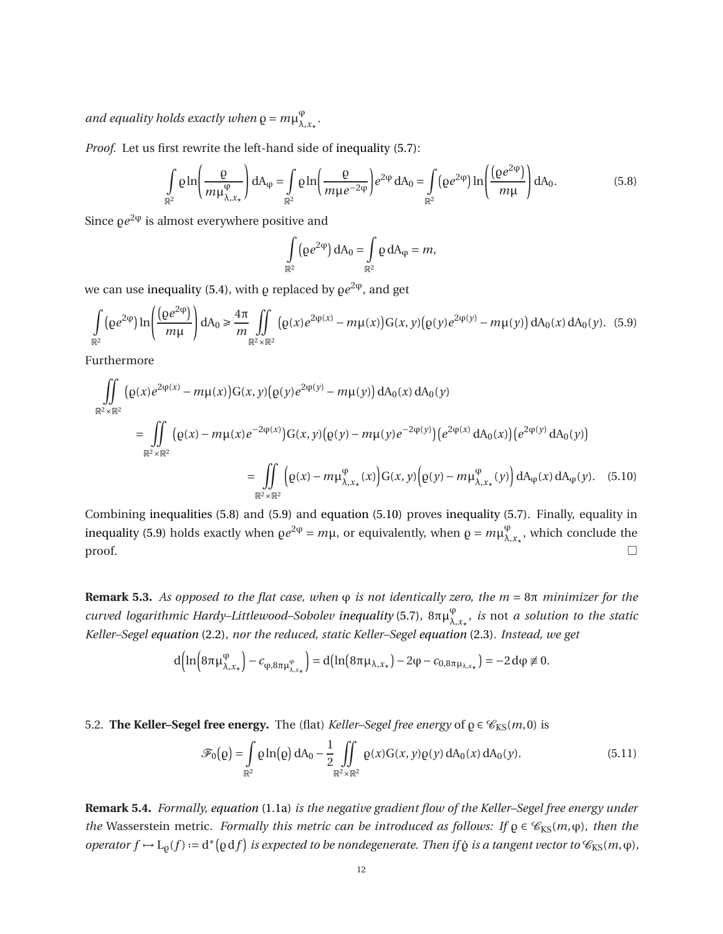and equality holds exactly when  $\varrho = m \mu_\lambda^\varphi$ λ,*x*<sup>⋆</sup> *.*

*Proof.* Let us first rewrite the left-hand side of [inequality \(5.7\):](#page-10-6)

<span id="page-11-1"></span>
$$
\int_{\mathbb{R}^2} \rho \ln \left( \frac{\rho}{m \mu_{\lambda, x_{\star}}^{\phi}} \right) dA_{\phi} = \int_{\mathbb{R}^2} \rho \ln \left( \frac{\rho}{m \mu e^{-2\phi}} \right) e^{2\phi} dA_0 = \int_{\mathbb{R}^2} (\rho e^{2\phi}) \ln \left( \frac{(\rho e^{2\phi})}{m \mu} \right) dA_0.
$$
 (5.8)

Since  $\varrho e^{2\varphi}$  is almost everywhere positive and

<span id="page-11-3"></span>
$$
\int_{\mathbb{R}^2} (\varrho e^{2\phi}) dA_0 = \int_{\mathbb{R}^2} \varrho dA_\phi = m,
$$

we can use [inequality \(5.4\),](#page-10-2) with  $\varrho$  replaced by  $\varrho e^{2\phi}$ , and get

<span id="page-11-2"></span>
$$
\int_{\mathbb{R}^2} (\varrho e^{2\phi}) \ln \left( \frac{(\varrho e^{2\phi})}{m\mu} \right) dA_0 \ge \frac{4\pi}{m} \iint_{\mathbb{R}^2 \times \mathbb{R}^2} (\varrho(x) e^{2\phi(x)} - m\mu(x)) G(x, y) (\varrho(y) e^{2\phi(y)} - m\mu(y)) dA_0(x) dA_0(y). (5.9)
$$

Furthermore

$$
\iint_{\mathbb{R}^{2} \times \mathbb{R}^{2}} (\varrho(x) e^{2\varphi(x)} - m\mu(x)) G(x, y) (\varrho(y) e^{2\varphi(y)} - m\mu(y)) dA_{0}(x) dA_{0}(y)
$$
\n
$$
= \iint_{\mathbb{R}^{2} \times \mathbb{R}^{2}} (\varrho(x) - m\mu(x) e^{-2\varphi(x)}) G(x, y) (\varrho(y) - m\mu(y) e^{-2\varphi(y)}) (e^{2\varphi(x)} dA_{0}(x)) (e^{2\varphi(y)} dA_{0}(y))
$$
\n
$$
= \iint_{\mathbb{R}^{2} \times \mathbb{R}^{2}} (\varrho(x) - m\mu_{\lambda, x_{\star}}^{ \varphi}(x)) G(x, y) (\varrho(y) - m\mu_{\lambda, x_{\star}}^{ \varphi}(y)) dA_{\varphi}(x) dA_{\varphi}(y).
$$
\n(5.10)

Combining [inequalities \(5.8\)](#page-11-1) and [\(5.9\)](#page-11-2) and [equation \(5.10\)](#page-11-3) proves [inequality \(5.7\).](#page-10-6) Finally, equality in [inequality \(5.9\)](#page-11-2) holds exactly when  $\varrho e^{2\varphi} = m\mu$ , or equivalently, when  $\varrho = m\mu_{\lambda}^{\varphi}$  $\bigvee_{\lambda,x_{\star}}^{\varphi}$ , which conclude the  $\Box$ 

**Remark 5.3.** *As opposed to the flat case, when* ϕ *is not identically zero, the m* = 8π *minimizer for the curved logarithmic Hardy–Littlewood–Sobolev [inequality](#page-10-6)* (5.7)*,* 8πµ ϕ λ,*x*<sup>⋆</sup> *, is* not *a solution to the static Keller–Segel [equation](#page-2-1)* (2.2)*, nor the reduced, static Keller–Segel [equation](#page-2-0)* (2.3)*. Instead, we get*

$$
d\Big(\ln\Big(8\pi\mu_{\lambda,x_{\star}}^{\phi}\Big)-c_{\phi,8\pi\mu_{\lambda,x_{\star}}^{\phi}}\Big)=d\Big(\ln\Big(8\pi\mu_{\lambda,x_{\star}}\Big)-2\phi-c_{0,8\pi\mu_{\lambda,x_{\star}}}\Big)=-2\,d\phi\not\equiv 0.
$$

<span id="page-11-0"></span>5.2. **The Keller–Segel free energy.** The (flat) *Keller–Segel free energy* of  $\rho \in \mathcal{C}_{KS}(m,0)$  is

<span id="page-11-4"></span>
$$
\mathscr{F}_0(\rho) = \int_{\mathbb{R}^2} \rho \ln(\rho) \, dA_0 - \frac{1}{2} \iint_{\mathbb{R}^2 \times \mathbb{R}^2} \rho(x) G(x, y) \rho(y) \, dA_0(x) \, dA_0(y). \tag{5.11}
$$

**Remark 5.4.** *Formally, [equation](#page-0-0)* (1.1a) *is the negative gradient flow of the Keller–Segel free energy under the* Wasserstein metric*. Formally this metric can be introduced as follows: If*  $\rho \in \mathcal{C}_{KS}(m,\varphi)$ *, then the*  $\phi$  operator  $f \mapsto L_\rho(f) := d^* \big(\rho df\big)$  is expected to be nondegenerate. Then if  $\dot{\rho}$  is a tangent vector to  $\mathscr{C}_{KS}(m, \varphi)$ ,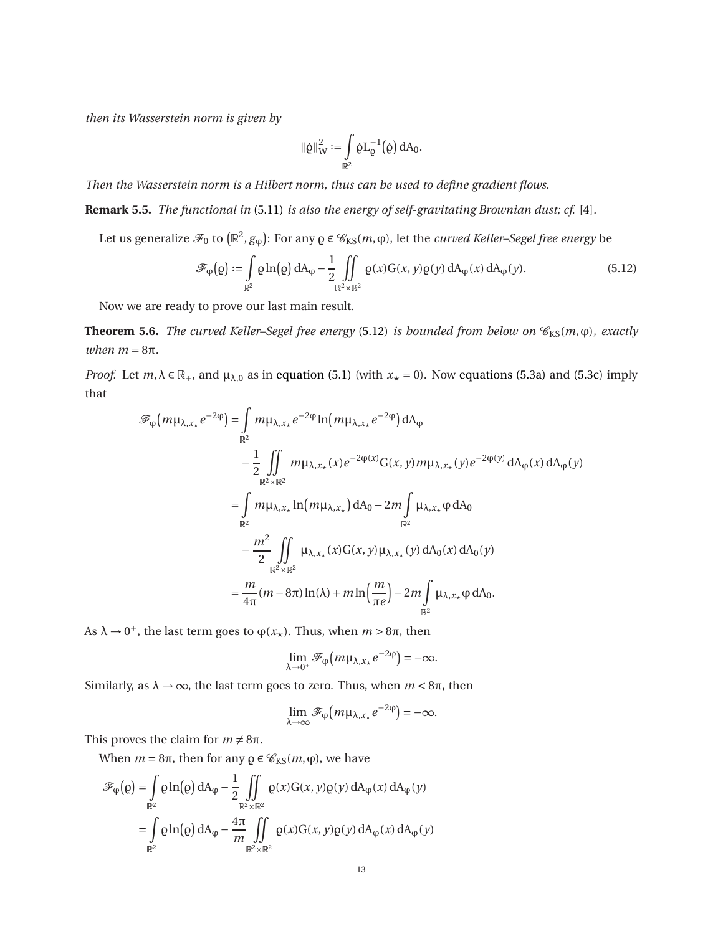*then its Wasserstein norm is given by*

$$
\|\dot{\varrho}\|^2_W:=\int\limits_{\mathbb{R}^2}\dot{\varrho}L_\varrho^{-1}\big(\dot{\varrho}\big)\,dA_0.
$$

*Then the Wasserstein norm is a Hilbert norm, thus can be used to define gradient flows.*

**Remark 5.5.** *The functional in* [\(5.11\)](#page-11-4) *is also the energy of self-gravitating Brownian dust; cf.* [\[4\]](#page-14-7)*.*

Let us generalize  $\mathscr{F}_0$  to  $(\mathbb{R}^2,g_\phi)$ : For any  $\varrho\in\mathscr{C}_{\mathrm{KS}}(m,\phi)$ , let the *curved Keller–Segel free energy* be

<span id="page-12-0"></span>
$$
\mathscr{F}_{\varphi}(\varrho) := \int_{\mathbb{R}^2} \varrho \ln(\varrho) \, dA_{\varphi} - \frac{1}{2} \iint_{\mathbb{R}^2 \times \mathbb{R}^2} \varrho(x) G(x, y) \varrho(y) \, dA_{\varphi}(x) \, dA_{\varphi}(y).
$$
\n(5.12)

<span id="page-12-1"></span>Now we are ready to prove our last main result.

**Theorem 5.6.** *The curved Keller–Segel free energy* [\(5.12\)](#page-12-0) *is bounded from below on*  $\mathcal{C}_{\text{KS}}(m, \varphi)$ *, exactly*  $when m = 8\pi.$ 

*Proof.* Let  $m, \lambda \in \mathbb{R}_+$ , and  $\mu_{\lambda,0}$  as in [equation \(5.1\)](#page-9-4) (with  $x_{\star} = 0$ ). Now [equations \(5.3a\)](#page-10-0) and [\(5.3c\)](#page-10-1) imply that

$$
\mathcal{F}_{\varphi}(m\mu_{\lambda,x_{\star}}e^{-2\varphi}) = \int_{\mathbb{R}^{2}} m\mu_{\lambda,x_{\star}}e^{-2\varphi}\ln(m\mu_{\lambda,x_{\star}}e^{-2\varphi}) dA_{\varphi}
$$
  
\n
$$
-\frac{1}{2}\int_{\mathbb{R}^{2}} \int_{\mathbb{R}^{2} \times \mathbb{R}^{2}} m\mu_{\lambda,x_{\star}}(x)e^{-2\varphi(x)}G(x,y)m\mu_{\lambda,x_{\star}}(y)e^{-2\varphi(y)} dA_{\varphi}(x) dA_{\varphi}(y)
$$
  
\n
$$
=\int_{\mathbb{R}^{2}} m\mu_{\lambda,x_{\star}}\ln(m\mu_{\lambda,x_{\star}}) dA_{0} - 2m\int_{\mathbb{R}^{2}} \mu_{\lambda,x_{\star}}\varphi dA_{0}
$$
  
\n
$$
-\frac{m^{2}}{2}\int_{\mathbb{R}^{2} \times \mathbb{R}^{2}} \mu_{\lambda,x_{\star}}(x)G(x,y)\mu_{\lambda,x_{\star}}(y) dA_{0}(x) dA_{0}(y)
$$
  
\n
$$
=\frac{m}{4\pi}(m-8\pi)\ln(\lambda) + m\ln(\frac{m}{\pi e}) - 2m\int_{\mathbb{R}^{2}} \mu_{\lambda,x_{\star}}\varphi dA_{0}.
$$

As  $λ → 0<sup>+</sup>$ , the last term goes to  $φ(x<sub>★</sub>)$ . Thus, when  $m > 8π$ , then

$$
\lim_{\lambda \to 0^+} \mathscr{F}_{\varphi}(m\mu_{\lambda,x*}e^{-2\varphi}) = -\infty.
$$

Similarly, as  $λ → ∞$ , the last term goes to zero. Thus, when  $m < 8π$ , then

$$
\lim_{\lambda \to \infty} \mathscr{F}_{\varphi}(m\mu_{\lambda,x_*}e^{-2\varphi}) = -\infty.
$$

This proves the claim for  $m \neq 8\pi$ .

When  $m = 8\pi$ , then for any  $\rho \in \mathcal{C}_{KS}(m, \varphi)$ , we have

$$
\mathcal{F}_{\phi}(\varrho) = \int_{\mathbb{R}^2} \varrho \ln(\varrho) dA_{\phi} - \frac{1}{2} \iint_{\mathbb{R}^2 \times \mathbb{R}^2} \varrho(x) G(x, y) \varrho(y) dA_{\phi}(x) dA_{\phi}(y)
$$

$$
= \int_{\mathbb{R}^2} \varrho \ln(\varrho) dA_{\phi} - \frac{4\pi}{m} \iint_{\mathbb{R}^2 \times \mathbb{R}^2} \varrho(x) G(x, y) \varrho(y) dA_{\phi}(x) dA_{\phi}(y)
$$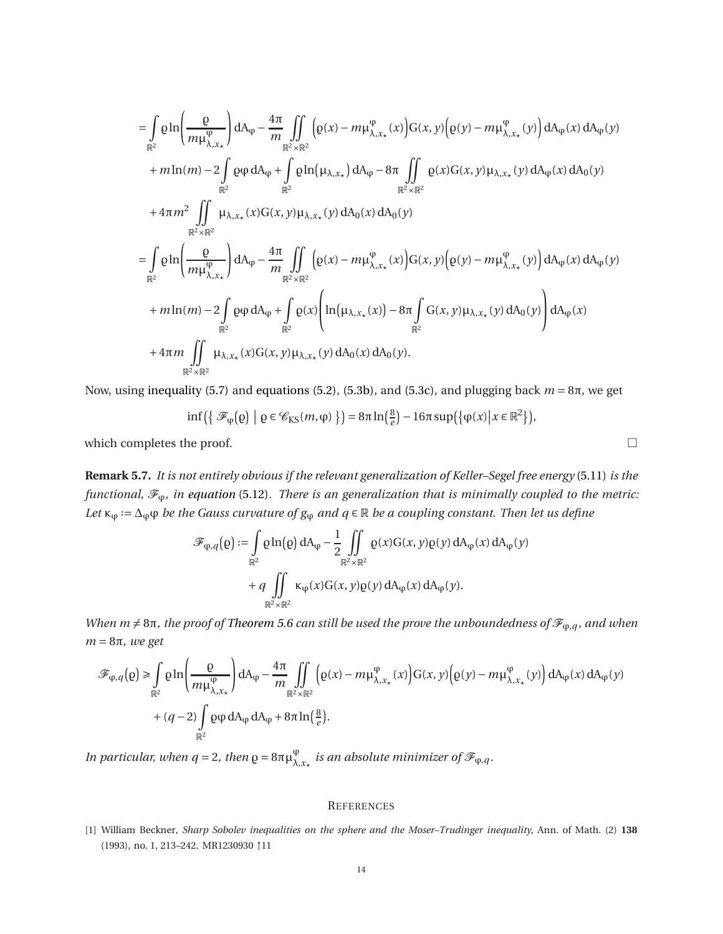$$
= \int_{\mathbb{R}^2} \rho \ln \left( \frac{\rho}{m \mu_{\lambda, x_{\star}}^{\phi}} \right) dA_{\phi} - \frac{4\pi}{m} \iint_{\mathbb{R}^2 \times \mathbb{R}^2} \left( \rho(x) - m \mu_{\lambda, x_{\star}}^{\phi}(x) \right) G(x, y) \left( \rho(y) - m \mu_{\lambda, x_{\star}}^{\phi}(y) \right) dA_{\phi}(x) dA_{\phi}(y)
$$
  
+  $m \ln(m) - 2 \int_{\mathbb{R}^2} \rho \phi dA_{\phi} + \int_{\mathbb{R}^2} \rho \ln(\mu_{\lambda, x_{\star}}) dA_{\phi} - 8\pi \iint_{\mathbb{R}^2 \times \mathbb{R}^2} \rho(x) G(x, y) \mu_{\lambda, x_{\star}}(y) dA_{\phi}(x) dA_{0}(y)$   
+  $4\pi m^2 \iint_{\mathbb{R}^2 \times \mathbb{R}^2} \mu_{\lambda, x_{\star}}(x) G(x, y) \mu_{\lambda, x_{\star}}(y) dA_{0}(x) dA_{0}(y)$   
=  $\int_{\mathbb{R}^2} \rho \ln \left( \frac{\rho}{m \mu_{\lambda, x_{\star}}^{\phi}} \right) dA_{\phi} - \frac{4\pi}{m} \iint_{\mathbb{R}^2 \times \mathbb{R}^2} \left( \rho(x) - m \mu_{\lambda, x_{\star}}^{\phi}(x) \right) G(x, y) \left( \rho(y) - m \mu_{\lambda, x_{\star}}^{\phi}(y) \right) dA_{\phi}(x) dA_{\phi}(y)$   
+  $m \ln(m) - 2 \int_{\mathbb{R}^2} \rho \phi dA_{\phi} + \int_{\mathbb{R}^2} \rho(x) \left( \ln(\mu_{\lambda, x_{\star}}(x)) - 8\pi \int_{\mathbb{R}^2} G(x, y) \mu_{\lambda, x_{\star}}(y) dA_{0}(y) \right) dA_{\phi}(x)$   
+  $4\pi m \iint_{\mathbb{R}^2} \iint_{\mathbb{R}^2} \mu_{\lambda, x_{\star}}(x) G(x, y) \mu_{\lambda, x_{\star}}(y) dA_{0}(x) dA_{0}(y).$ 

Now, using [inequality \(5.7\)](#page-10-6) and [equations \(5.2\),](#page-9-5) [\(5.3b\),](#page-10-7) and [\(5.3c\),](#page-10-1) and plugging back *m* = 8π, we get

$$
\inf\left(\left\{\mathcal{F}_{\phi}\big(\varrho\big) \big| \varrho \in \mathcal{C}_{\text{KS}}(m,\varphi)\right\}\right) = 8\pi \ln\left(\frac{8}{e}\right) - 16\pi \sup\left(\left\{\varphi(x) \big| x \in \mathbb{R}^2\right\}\right),\,
$$

which completes the proof.  $\Box$ 

**Remark 5.7.** *It is not entirely obvious if the relevant generalization of Keller–Segel free energy* [\(5.11\)](#page-11-4) *is the functional,*  $\mathcal{F}_{\varphi}$ *, in [equation](#page-12-0)* (5.12). There is an generalization that is minimally coupled to the metric: Let  $\kappa_\phi := \Delta_\phi \phi$  *be the Gauss curvature of*  $g_\phi$  *and*  $q \in \mathbb{R}$  *be a coupling constant. Then let us define* 

$$
\mathscr{F}_{\varphi,q}(\varrho) := \int_{\mathbb{R}^2} \varrho \ln(\varrho) dA_{\varphi} - \frac{1}{2} \iint_{\mathbb{R}^2 \times \mathbb{R}^2} \varrho(x) G(x, y) \varrho(y) dA_{\varphi}(x) dA_{\varphi}(y) \n+ q \iint_{\mathbb{R}^2 \times \mathbb{R}^2} \kappa_{\varphi}(x) G(x, y) \varrho(y) dA_{\varphi}(x) dA_{\varphi}(y).
$$

*When m*  $\neq$  8π, the proof of *[Theorem 5.6](#page-12-1) can still be used the prove the unboundedness of*  $\mathcal{F}_{\varphi,q}$ *, and when m* = 8π*, we get*

$$
\mathcal{F}_{\varphi,q}(\varrho) \ge \int_{\mathbb{R}^2} \varrho \ln \left( \frac{\varrho}{m \mu_{\lambda,x_{\star}}^{\varphi}} \right) dA_{\varphi} - \frac{4\pi}{m} \iint_{\mathbb{R}^2 \times \mathbb{R}^2} \left( \varrho(x) - m \mu_{\lambda,x_{\star}}^{\varphi}(x) \right) G(x,y) \left( \varrho(y) - m \mu_{\lambda,x_{\star}}^{\varphi}(y) \right) dA_{\varphi}(x) dA_{\varphi}(y)
$$
  
+  $(q-2) \int_{\mathbb{R}^2} \varrho \varphi dA_{\varphi} dA_{\varphi} + 8\pi \ln \left( \frac{8}{e} \right).$ 

*In particular, when q* = 2*, then*  $\varrho = 8\pi\mu_{\lambda}^{\varphi}$  $^{\varphi}_{\lambda, x_{\star}}$  *is an absolute minimizer of*  $\mathscr{F}_{\varphi, q}$  *.* 

#### **REFERENCES**

<span id="page-13-0"></span><sup>[1]</sup> William Beckner, *Sharp Sobolev inequalities on the sphere and the Moser–Trudinger inequality*, Ann. of Math. (2) **138** (1993), no. 1, 213–242. MR1230930 ↑11